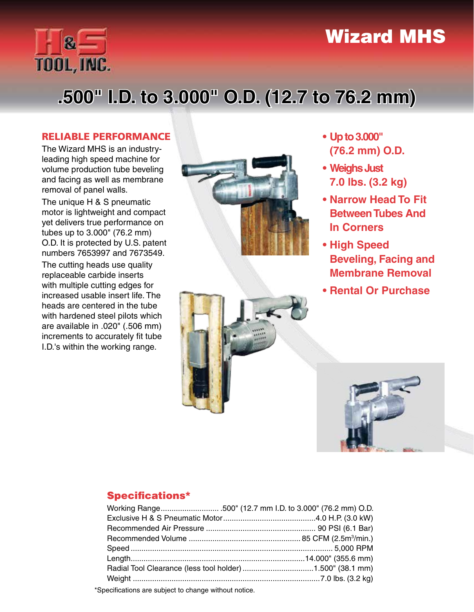## Wizard MHS



# **.500" I.D. to 3.000" O.D. (12.7 to 76.2 mm)**

### RELIABLE PERFORMANCE

The Wizard MHS is an industryleading high speed machine for volume production tube beveling and facing as well as membrane removal of panel walls.

The unique H & S pneumatic motor is lightweight and compact yet delivers true performance on tubes up to 3.000" (76.2 mm) O.D. It is protected by U.S. patent numbers 7653997 and 7673549.

The cutting heads use quality replaceable carbide inserts with multiple cutting edges for increased usable insert life. The heads are centered in the tube with hardened steel pilots which are available in .020" (.506 mm) increments to accurately fit tube I.D.'s within the working range.





- **• Up to 3.000" (76.2 mm) O.D.**
- **• Weighs Just 7.0 lbs. (3.2 kg)**
- **• Narrow Head To Fit Between Tubes And In Corners**
- **• High Speed Beveling, Facing and Membrane Removal**
- **• Rental Or Purchase**



## Specifications\*

| Working Range500" (12.7 mm I.D. to 3.000" (76.2 mm) O.D.  |
|-----------------------------------------------------------|
|                                                           |
|                                                           |
|                                                           |
|                                                           |
|                                                           |
| Radial Tool Clearance (less tool holder) 1.500" (38.1 mm) |
|                                                           |
|                                                           |

\*Specifications are subject to change without notice.